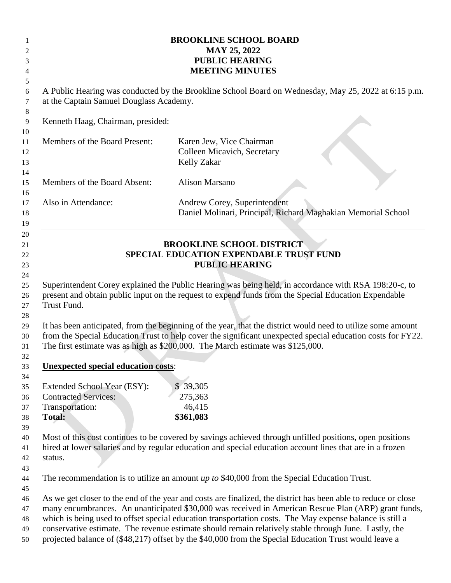|                | <b>BROOKLINE SCHOOL BOARD</b>                                                                                                                   |                                                                                                                                                                                                                |
|----------------|-------------------------------------------------------------------------------------------------------------------------------------------------|----------------------------------------------------------------------------------------------------------------------------------------------------------------------------------------------------------------|
| 2              | <b>MAY 25, 2022</b><br><b>PUBLIC HEARING</b>                                                                                                    |                                                                                                                                                                                                                |
| 3              | <b>MEETING MINUTES</b>                                                                                                                          |                                                                                                                                                                                                                |
| 4<br>5         |                                                                                                                                                 |                                                                                                                                                                                                                |
| 6<br>7         | A Public Hearing was conducted by the Brookline School Board on Wednesday, May 25, 2022 at 6:15 p.m.<br>at the Captain Samuel Douglass Academy. |                                                                                                                                                                                                                |
| 8              |                                                                                                                                                 |                                                                                                                                                                                                                |
| 9<br>10        | Kenneth Haag, Chairman, presided:                                                                                                               |                                                                                                                                                                                                                |
| 11<br>12<br>13 | Members of the Board Present:                                                                                                                   | Karen Jew, Vice Chairman<br>Colleen Micavich, Secretary<br><b>Kelly Zakar</b>                                                                                                                                  |
| 14<br>15<br>16 | Members of the Board Absent:                                                                                                                    | <b>Alison Marsano</b>                                                                                                                                                                                          |
| 17<br>18<br>19 | Also in Attendance:                                                                                                                             | Andrew Corey, Superintendent<br>Daniel Molinari, Principal, Richard Maghakian Memorial School                                                                                                                  |
| 20<br>21       |                                                                                                                                                 | <b>BROOKLINE SCHOOL DISTRICT</b>                                                                                                                                                                               |
| 22             | SPECIAL EDUCATION EXPENDABLE TRUST FUND                                                                                                         |                                                                                                                                                                                                                |
| 23             | <b>PUBLIC HEARING</b>                                                                                                                           |                                                                                                                                                                                                                |
| 24             |                                                                                                                                                 |                                                                                                                                                                                                                |
| 25             |                                                                                                                                                 | Superintendent Corey explained the Public Hearing was being held, in accordance with RSA 198:20-c, to                                                                                                          |
| 26             | present and obtain public input on the request to expend funds from the Special Education Expendable                                            |                                                                                                                                                                                                                |
| 27             | Trust Fund.                                                                                                                                     |                                                                                                                                                                                                                |
| 28             |                                                                                                                                                 |                                                                                                                                                                                                                |
| 29             |                                                                                                                                                 | It has been anticipated, from the beginning of the year, that the district would need to utilize some amount                                                                                                   |
| 30             | from the Special Education Trust to help cover the significant unexpected special education costs for FY22.                                     |                                                                                                                                                                                                                |
| 31             |                                                                                                                                                 | The first estimate was as high as \$200,000. The March estimate was \$125,000.                                                                                                                                 |
| 32             |                                                                                                                                                 |                                                                                                                                                                                                                |
| 33             | <b>Unexpected special education costs:</b>                                                                                                      |                                                                                                                                                                                                                |
| 34             |                                                                                                                                                 |                                                                                                                                                                                                                |
| 35             | Extended School Year (ESY):<br><b>Contracted Services:</b>                                                                                      | \$39,305                                                                                                                                                                                                       |
| 36<br>37       | Transportation:                                                                                                                                 | 275,363<br>46,415                                                                                                                                                                                              |
| 38             | Total:                                                                                                                                          | \$361,083                                                                                                                                                                                                      |
| 39             |                                                                                                                                                 |                                                                                                                                                                                                                |
| 40             |                                                                                                                                                 | Most of this cost continues to be covered by savings achieved through unfilled positions, open positions                                                                                                       |
| 41             | hired at lower salaries and by regular education and special education account lines that are in a frozen                                       |                                                                                                                                                                                                                |
| 42             | status.                                                                                                                                         |                                                                                                                                                                                                                |
| 43             |                                                                                                                                                 |                                                                                                                                                                                                                |
| 44             |                                                                                                                                                 | The recommendation is to utilize an amount up to \$40,000 from the Special Education Trust.                                                                                                                    |
| 45             |                                                                                                                                                 |                                                                                                                                                                                                                |
| 46             | As we get closer to the end of the year and costs are finalized, the district has been able to reduce or close                                  |                                                                                                                                                                                                                |
| 47             | many encumbrances. An unanticipated \$30,000 was received in American Rescue Plan (ARP) grant funds,                                            |                                                                                                                                                                                                                |
| 48             |                                                                                                                                                 | which is being used to offset special education transportation costs. The May expense balance is still a                                                                                                       |
| 49<br>50       |                                                                                                                                                 | conservative estimate. The revenue estimate should remain relatively stable through June. Lastly, the<br>projected balance of (\$48,217) offset by the \$40,000 from the Special Education Trust would leave a |